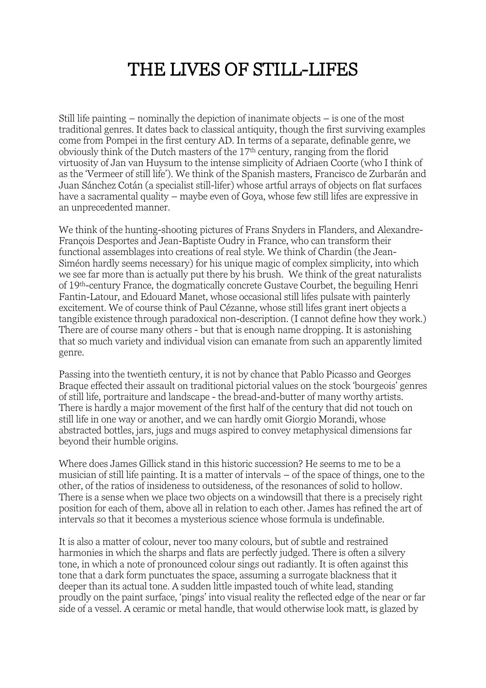## THE LIVES OF STILL-LIFES

Still life painting – nominally the depiction of inanimate objects – is one of the most traditional genres. It dates back to classical antiquity, though the first surviving examples come from Pompei in the first century AD. In terms of a separate, definable genre, we obviously think of the Dutch masters of the 17th century, ranging from the florid virtuosity of Jan van Huysum to the intense simplicity of Adriaen Coorte (who I think of as the 'Vermeer of still life'). We think of the Spanish masters, Francisco de Zurbarán and Juan Sánchez Cotán (a specialist still-lifer) whose artful arrays of objects on flat surfaces have a sacramental quality – maybe even of Goya, whose few still lifes are expressive in an unprecedented manner.

We think of the hunting-shooting pictures of Frans Snyders in Flanders, and Alexandre-François Desportes and Jean-Baptiste Oudry in France, who can transform their functional assemblages into creations of real style. We think of Chardin (the Jean-Siméon hardly seems necessary) for his unique magic of complex simplicity, into which we see far more than is actually put there by his brush. We think of the great naturalists of 19th-century France, the dogmatically concrete Gustave Courbet, the beguiling Henri Fantin-Latour, and Edouard Manet, whose occasional still lifes pulsate with painterly excitement. We of course think of Paul Cézanne, whose still lifes grant inert objects a tangible existence through paradoxical non-description. (I cannot define how they work.) There are of course many others - but that is enough name dropping. It is astonishing that so much variety and individual vision can emanate from such an apparently limited genre.

Passing into the twentieth century, it is not by chance that Pablo Picasso and Georges Braque effected their assault on traditional pictorial values on the stock 'bourgeois' genres of still life, portraiture and landscape - the bread-and-butter of many worthy artists. There is hardly a major movement of the first half of the century that did not touch on still life in one way or another, and we can hardly omit Giorgio Morandi, whose abstracted bottles, jars, jugs and mugs aspired to convey metaphysical dimensions far beyond their humble origins.

Where does James Gillick stand in this historic succession? He seems to me to be a musician of still life painting. It is a matter of intervals – of the space of things, one to the other, of the ratios of insideness to outsideness, of the resonances of solid to hollow. There is a sense when we place two objects on a windowsill that there is a precisely right position for each of them, above all in relation to each other. James has refined the art of intervals so that it becomes a mysterious science whose formula is undefinable.

It is also a matter of colour, never too many colours, but of subtle and restrained harmonies in which the sharps and flats are perfectly judged. There is often a silvery tone, in which a note of pronounced colour sings out radiantly. It is often against this tone that a dark form punctuates the space, assuming a surrogate blackness that it deeper than its actual tone. A sudden little impasted touch of white lead, standing proudly on the paint surface, 'pings' into visual reality the reflected edge of the near or far side of a vessel. A ceramic or metal handle, that would otherwise look matt, is glazed by